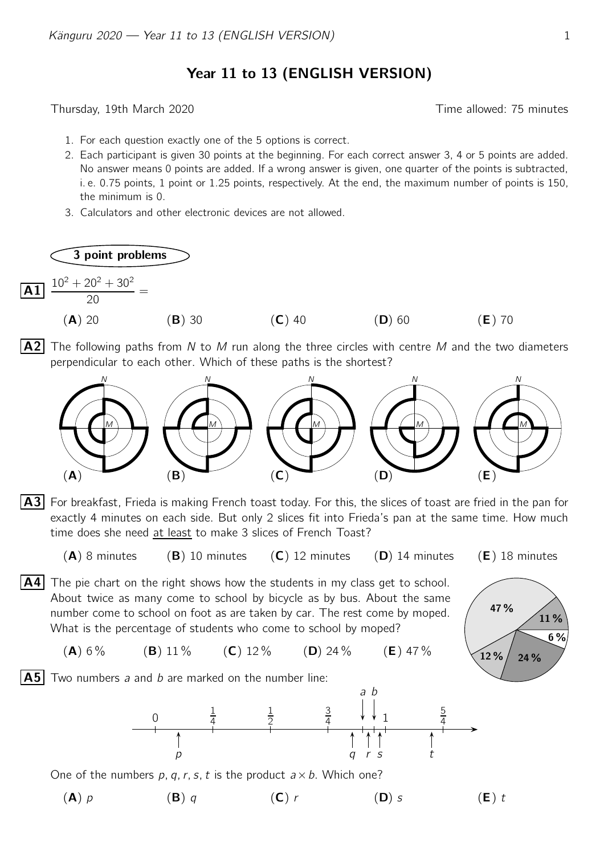## Year 11 to 13 (ENGLISH VERSION)

Thursday, 19th March 2020 **Thursday**, 19th March 2020

- 1. For each question exactly one of the 5 options is correct.
- 2. Each participant is given 30 points at the beginning. For each correct answer 3, 4 or 5 points are added. No answer means 0 points are added. If a wrong answer is given, one quarter of the points is subtracted, i. e. 0.75 points, 1 point or 1.25 points, respectively. At the end, the maximum number of points is 150, the minimum is 0.
- 3. Calculators and other electronic devices are not allowed.



A2 The following paths from N to M run along the three circles with centre M and the two diameters perpendicular to each other. Which of these paths is the shortest?



A3 For breakfast, Frieda is making French toast today. For this, the slices of toast are fried in the pan for exactly 4 minutes on each side. But only 2 slices fit into Frieda's pan at the same time. How much time does she need at least to make 3 slices of French Toast?

 $(A)$  8 minutes (B) 10 minutes (C) 12 minutes (D) 14 minutes (E) 18 minutes

47 %

 $12 \% / 24 \%$ 

11 %

6 %

- $\overline{A4}$  The pie chart on the right shows how the students in my class get to school. About twice as many come to school by bicycle as by bus. About the same number come to school on foot as are taken by car. The rest come by moped. What is the percentage of students who come to school by moped?
	- (A)  $6\%$  (B)  $11\%$  (C)  $12\%$  (D)  $24\%$  (E)  $47\%$

**A5** Two numbers a and b are marked on the number line:



One of the numbers p, q, r, s, t is the product  $a \times b$ . Which one?

(A)  $p$  (B)  $q$  (C)  $r$  (D) s (E) t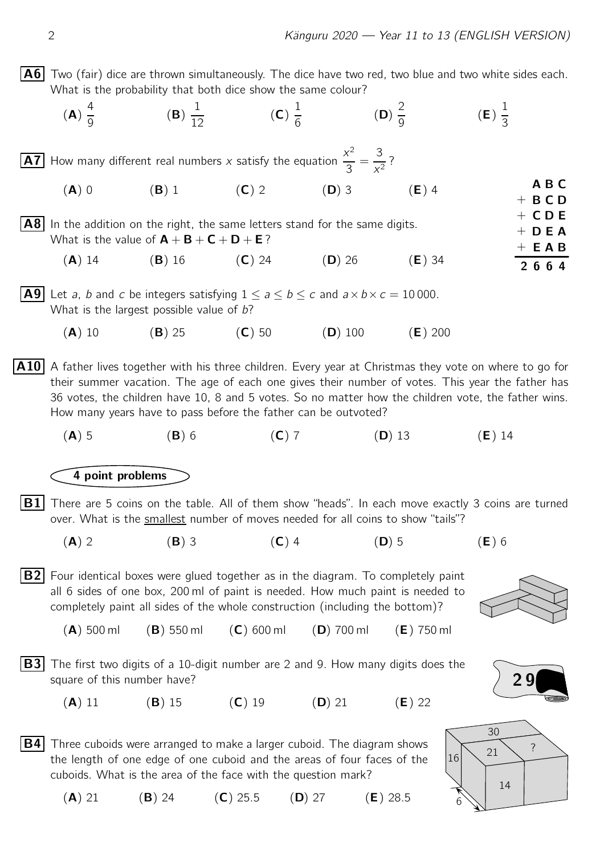A B C  $+$  B C D  $+$  CDE  $+$  D E A  $+$  E A B 2 6 6 4

|                                                              |                    |                          |                   | A6 Two (fair) dice are thrown simultaneously. The dice have two red, two blue and two white sides each. |
|--------------------------------------------------------------|--------------------|--------------------------|-------------------|---------------------------------------------------------------------------------------------------------|
| What is the probability that both dice show the same colour? |                    |                          |                   |                                                                                                         |
| $(\mathbf{A}) \frac{1}{\alpha}$                              | $(B) \frac{1}{12}$ | $(C) \frac{1}{\epsilon}$ | $(D) \frac{2}{0}$ | $(E) \frac{1}{2}$                                                                                       |

**A7** How many different real numbers x satisfy the equation  $\frac{x^2}{2}$ 3 = 3  $\frac{8}{x^2}$  ?

- (A) 0 (B) 1 (C) 2 (D) 3 (E) 4 A8 In the addition on the right, the same letters stand for the same digits. What is the value of  $A + B + C + D + E$ ?
	- (A) 14 (B) 16 (C) 24 (D) 26 (E) 34
- **A9** Let a, b and c be integers satisfying  $1 \le a \le b \le c$  and  $a \times b \times c = 10000$ . What is the largest possible value of  $b$ ?
	- (A) 10 (B) 25 (C) 50 (D) 100 (E) 200

 $|A10|$  A father lives together with his three children. Every year at Christmas they vote on where to go for their summer vacation. The age of each one gives their number of votes. This year the father has 36 votes, the children have 10, 8 and 5 votes. So no matter how the children vote, the father wins. How many years have to pass before the father can be outvoted?

(A) 5 (B) 6 (C) 7 (D) 13 (E) 14

## 4 point problems

- $\mathbf{B1}$  There are 5 coins on the table. All of them show "heads". In each move exactly 3 coins are turned over. What is the smallest number of moves needed for all coins to show "tails"?
	- (A) 2 (B) 3 (C) 4 (D) 5 (E) 6
- $|B2|$  Four identical boxes were glued together as in the diagram. To completely paint all 6 sides of one box, 200 ml of paint is needed. How much paint is needed to completely paint all sides of the whole construction (including the bottom)?



- (A) 500 ml (B) 550 ml (C) 600 ml (D) 700 ml (E) 750 ml
- **B3** The first two digits of a 10-digit number are 2 and 9. How many digits does the square of this number have?
	- (A) 11 (B) 15 (C) 19 (D) 21 (E) 22
- **B4** Three cuboids were arranged to make a larger cuboid. The diagram shows the length of one edge of one cuboid and the areas of four faces of the cuboids. What is the area of the face with the question mark?





(A) 21 (B) 24 (C) 25.5 (D) 27 (E) 28.5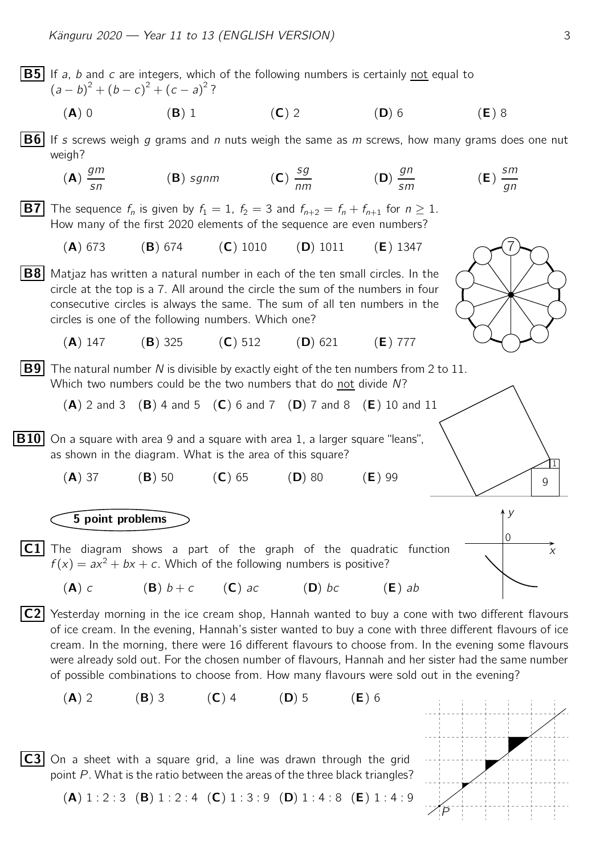**B5** If a, b and c are integers, which of the following numbers is certainly not equal to  $(a - b)^2 + (b - c)^2 + (c - a)^2$ ? (A) 0 (B) 1 (C) 2 (D) 6 (E) 8 **B6** If s screws weigh g grams and n nuts weigh the same as m screws, how many grams does one nut weigh? (A) gm sn  $(B)$  sgnm  $(C)$ sg  $\frac{eg}{nm}$  (D) gn sm (E) sm gn **B7** The sequence  $f_n$  is given by  $f_1 = 1$ ,  $f_2 = 3$  and  $f_{n+2} = f_n + f_{n+1}$  for  $n \ge 1$ . How many of the first 2020 elements of the sequence are even numbers? (A) 673 (B) 674 (C) 1010 (D) 1011 (E) 1347 B8 Matjaz has written a natural number in each of the ten small circles. In the 7 circle at the top is a 7. All around the circle the sum of the numbers in four consecutive circles is always the same. The sum of all ten numbers in the circles is one of the following numbers. Which one? (A) 147 (B) 325 (C) 512 (D) 621 (E) 777 **B9** The natural number N is divisible by exactly eight of the ten numbers from 2 to 11. Which two numbers could be the two numbers that do not divide N?  $(A)$  2 and 3  $(B)$  4 and 5  $(C)$  6 and 7  $(D)$  7 and 8  $(E)$  10 and 11  $\overline{B10}$  On a square with area 9 and a square with area 1, a larger square "leans",  $\mathsf{Q}$ l 1 as shown in the diagram. What is the area of this square?  $(A)$  37  $(B)$  50  $(C)$  65  $(D)$  80  $(E)$  99 5 point problems **C1** The diagram shows a part of the graph of the quadratic function  $\overline{\hspace{1cm}}$ y 0  $f(x) = ax^2 + bx + c$ . Which of the following numbers is positive? (A) c (B)  $b+c$  (C) ac (D) bc (E) ab  $|C2|$  Yesterday morning in the ice cream shop, Hannah wanted to buy a cone with two different flavours of ice cream. In the evening, Hannah's sister wanted to buy a cone with three different flavours of ice cream. In the morning, there were 16 different flavours to choose from. In the evening some flavours were already sold out. For the chosen number of flavours, Hannah and her sister had the same number of possible combinations to choose from. How many flavours were sold out in the evening? (A) 2 (B) 3 (C) 4 (D) 5 (E) 6  $\overline{C3}$  On a sheet with a square grid, a line was drawn through the grid P point P. What is the ratio between the areas of the three black triangles?  $(A) 1 : 2 : 3 (B) 1 : 2 : 4 (C) 1 : 3 : 9 (D) 1 : 4 : 8 (E) 1 : 4 : 9$